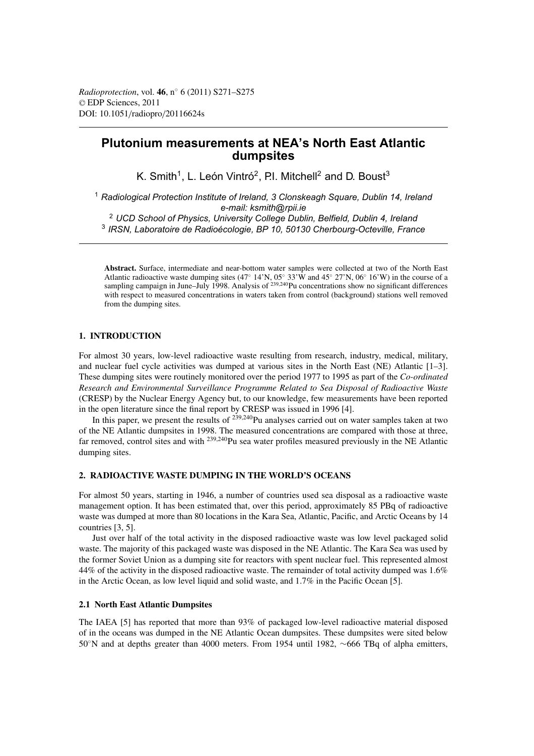# **Plutonium measurements at NEA's North East Atlantic dumpsites**

K. Smith<sup>1</sup>, L. León Vintró<sup>2</sup>, P.I. Mitchell<sup>2</sup> and D. Boust<sup>3</sup>

<sup>1</sup> *Radiological Protection Institute of Ireland, 3 Clonskeagh Square, Dublin 14, Ireland e-mail: ksmith@rpii.ie*

<sup>2</sup> *UCD School of Physics, University College Dublin, Belfield, Dublin 4, Ireland*

<sup>3</sup> *IRSN, Laboratoire de Radioécologie, BP 10, 50130 Cherbourg-Octeville, France*

**Abstract.** Surface, intermediate and near-bottom water samples were collected at two of the North East Atlantic radioactive waste dumping sites  $(47° 14'N, 05° 33'W$  and  $45° 27'N, 06° 16'W)$  in the course of a sampling campaign in June–July 1998. Analysis of <sup>239,240</sup>Pu concentrations show no significant differences with respect to measured concentrations in waters taken from control (background) stations well removed from the dumping sites.

## **1. INTRODUCTION**

For almost 30 years, low-level radioactive waste resulting from research, industry, medical, military, and nuclear fuel cycle activities was dumped at various sites in the North East (NE) Atlantic [1–3]. These dumping sites were routinely monitored over the period 1977 to 1995 as part of the *Co-ordinated Research and Environmental Surveillance Programme Related to Sea Disposal of Radioactive Waste* (CRESP) by the Nuclear Energy Agency but, to our knowledge, few measurements have been reported in the open literature since the final report by CRESP was issued in 1996 [4].

In this paper, we present the results of  $2^{39,240}$ Pu analyses carried out on water samples taken at two of the NE Atlantic dumpsites in 1998. The measured concentrations are compared with those at three, far removed, control sites and with <sup>239,240</sup>Pu sea water profiles measured previously in the NE Atlantic dumping sites.

## **2. RADIOACTIVE WASTE DUMPING IN THE WORLD'S OCEANS**

For almost 50 years, starting in 1946, a number of countries used sea disposal as a radioactive waste management option. It has been estimated that, over this period, approximately 85 PBq of radioactive waste was dumped at more than 80 locations in the Kara Sea, Atlantic, Pacific, and Arctic Oceans by 14 countries [3, 5].

Just over half of the total activity in the disposed radioactive waste was low level packaged solid waste. The majority of this packaged waste was disposed in the NE Atlantic. The Kara Sea was used by the former Soviet Union as a dumping site for reactors with spent nuclear fuel. This represented almost 44% of the activity in the disposed radioactive waste. The remainder of total activity dumped was 1.6% in the Arctic Ocean, as low level liquid and solid waste, and 1.7% in the Pacific Ocean [5].

## **2.1 North East Atlantic Dumpsites**

The IAEA [5] has reported that more than 93% of packaged low-level radioactive material disposed of in the oceans was dumped in the NE Atlantic Ocean dumpsites. These dumpsites were sited below 50◦N and at depths greater than 4000 meters. From 1954 until 1982, ∼666 TBq of alpha emitters,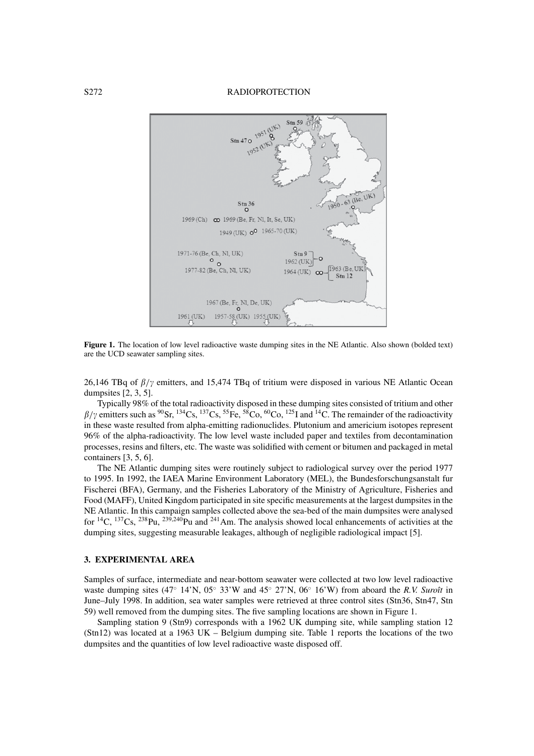S272 RADIOPROTECTION



**Figure 1.** The location of low level radioactive waste dumping sites in the NE Atlantic. Also shown (bolded text) are the UCD seawater sampling sites.

26,146 TBq of  $\beta/\gamma$  emitters, and 15,474 TBq of tritium were disposed in various NE Atlantic Ocean dumpsites [2, 3, 5].

Typically 98% of the total radioactivity disposed in these dumping sites consisted of tritium and other  $\beta/\gamma$  emitters such as <sup>90</sup>Sr, <sup>134</sup>Cs, <sup>137</sup>Cs, <sup>55</sup>Fe, <sup>58</sup>Co, <sup>60</sup>Co, <sup>125</sup>I and <sup>14</sup>C. The remainder of the radioactivity in these waste resulted from alpha-emitting radionuclides. Plutonium and americium isotopes represent 96% of the alpha-radioactivity. The low level waste included paper and textiles from decontamination processes, resins and filters, etc. The waste was solidified with cement or bitumen and packaged in metal containers [3, 5, 6].

The NE Atlantic dumping sites were routinely subject to radiological survey over the period 1977 to 1995. In 1992, the IAEA Marine Environment Laboratory (MEL), the Bundesforschungsanstalt fur Fischerei (BFA), Germany, and the Fisheries Laboratory of the Ministry of Agriculture, Fisheries and Food (MAFF), United Kingdom participated in site specific measurements at the largest dumpsites in the NE Atlantic. In this campaign samples collected above the sea-bed of the main dumpsites were analysed for <sup>14</sup>C, <sup>137</sup>Cs, <sup>238</sup>Pu, <sup>239,240</sup>Pu and <sup>241</sup>Am. The analysis showed local enhancements of activities at the dumping sites, suggesting measurable leakages, although of negligible radiological impact [5].

## **3. EXPERIMENTAL AREA**

Samples of surface, intermediate and near-bottom seawater were collected at two low level radioactive waste dumping sites (47◦ 14'N, 05◦ 33'W and 45◦ 27'N, 06◦ 16'W) from aboard the *R.V. Suroît* in June–July 1998. In addition, sea water samples were retrieved at three control sites (Stn36, Stn47, Stn 59) well removed from the dumping sites. The five sampling locations are shown in Figure 1.

Sampling station 9 (Stn9) corresponds with a 1962 UK dumping site, while sampling station 12 (Stn12) was located at a 1963 UK – Belgium dumping site. Table 1 reports the locations of the two dumpsites and the quantities of low level radioactive waste disposed off.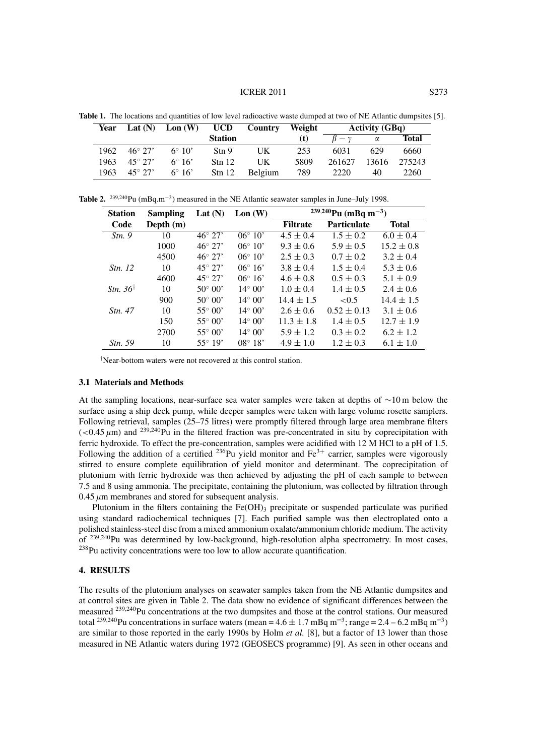#### **ICRER 2011** S273

| Year  | Lat $(N)$         | $\text{Lon (W)}$ | <b>UCD</b>        | Country        | Weight | <b>Activity (GBq)</b> |       |        |
|-------|-------------------|------------------|-------------------|----------------|--------|-----------------------|-------|--------|
|       |                   |                  | <b>Station</b>    |                | (t)    | $B - \nu$             | α     | Total  |
| 1962. | $46^{\circ} 27'$  | $6^{\circ} 10'$  | Stn 9             | UK             | 253    | 6031                  | 629   | 6660   |
| 1963. | $45^{\circ}$ 2.7' | $6^{\circ} 16'$  | Stn 12            | UK             | 5809   | 261627                | 13616 | 275243 |
| 1963. | $45^{\circ} 27'$  | $6^{\circ} 16'$  | $\mathrm{Stn}$ 12 | <b>Belgium</b> | 789    | 2220                  | 40    | 2260   |

**Table 1.** The locations and quantities of low level radioactive waste dumped at two of NE Atlantic dumpsites [5].

**Table 2.** 239,240Pu (mBq.m−3) measured in the NE Atlantic seawater samples in June–July 1998.

| <b>Station</b>       | Sampling    | Lat $(N)$        | Lon(W)           | <sup>239,240</sup> Pu (mBq m <sup>-3</sup> ) |                    |                |  |
|----------------------|-------------|------------------|------------------|----------------------------------------------|--------------------|----------------|--|
| Code                 | Depth $(m)$ |                  |                  | <b>Filtrate</b>                              | <b>Particulate</b> | <b>Total</b>   |  |
| Stn.9                | 10          | $46^{\circ} 27'$ | $06^{\circ} 10'$ | $4.5 \pm 0.4$                                | $1.5 \pm 0.2$      | $6.0 \pm 0.4$  |  |
|                      | 1000        | $46^{\circ} 27'$ | $06^{\circ} 10'$ | $9.3 \pm 0.6$                                | $5.9 \pm 0.5$      | $15.2 \pm 0.8$ |  |
|                      | 4500        | $46^{\circ} 27'$ | $06^{\circ} 10'$ | $2.5 \pm 0.3$                                | $0.7 \pm 0.2$      | $3.2 \pm 0.4$  |  |
| <i>Stn.</i> 12       | 10          | $45^{\circ} 27'$ | $06^{\circ} 16'$ | $3.8 \pm 0.4$                                | $1.5 \pm 0.4$      | $5.3 \pm 0.6$  |  |
|                      | 4600        | $45^{\circ} 27'$ | $06^{\circ} 16'$ | $4.6 \pm 0.8$                                | $0.5 \pm 0.3$      | $5.1 \pm 0.9$  |  |
| Stn. 36 <sup>†</sup> | 10          | $50^{\circ} 00'$ | $14^{\circ} 00'$ | $1.0 \pm 0.4$                                | $1.4 \pm 0.5$      | $2.4 \pm 0.6$  |  |
|                      | 900         | $50^{\circ} 00'$ | $14^{\circ} 00'$ | $14.4 \pm 1.5$                               | < 0.5              | $14.4 \pm 1.5$ |  |
| <i>Stn.</i> 47       | 10          | $55^{\circ} 00'$ | $14^{\circ} 00'$ | $2.6 \pm 0.6$                                | $0.52 \pm 0.13$    | $3.1 \pm 0.6$  |  |
|                      | 150         | $55^{\circ}00'$  | $14^{\circ} 00'$ | $11.3 \pm 1.8$                               | $1.4 \pm 0.5$      | $12.7 \pm 1.9$ |  |
|                      | 2700        | $55^{\circ}00'$  | $14^{\circ} 00'$ | $5.9 \pm 1.2$                                | $0.3 \pm 0.2$      | $6.2 \pm 1.2$  |  |
| <i>Stn.</i> 59       | 10          | $55^{\circ} 19'$ | $08^{\circ} 18'$ | $4.9 \pm 1.0$                                | $1.2 \pm 0.3$      | $6.1 \pm 1.0$  |  |

† Near-bottom waters were not recovered at this control station.

#### **3.1 Materials and Methods**

At the sampling locations, near-surface sea water samples were taken at depths of ∼10 m below the surface using a ship deck pump, while deeper samples were taken with large volume rosette samplers. Following retrieval, samples (25–75 litres) were promptly filtered through large area membrane filters  $\left($  <0.45  $\mu$ m) and <sup>239,240</sup>Pu in the filtered fraction was pre-concentrated in situ by coprecipitation with ferric hydroxide. To effect the pre-concentration, samples were acidified with 12 M HCl to a pH of 1.5. Following the addition of a certified  $^{236}$ Pu yield monitor and Fe<sup>3+</sup> carrier, samples were vigorously stirred to ensure complete equilibration of yield monitor and determinant. The coprecipitation of plutonium with ferric hydroxide was then achieved by adjusting the pH of each sample to between 7.5 and 8 using ammonia. The precipitate, containing the plutonium, was collected by filtration through  $0.45 \mu m$  membranes and stored for subsequent analysis.

Plutonium in the filters containing the Fe(OH) $_3$  precipitate or suspended particulate was purified using standard radiochemical techniques [7]. Each purified sample was then electroplated onto a polished stainless-steel disc from a mixed ammonium oxalate/ammonium chloride medium. The activity of 239,240Pu was determined by low-background, high-resolution alpha spectrometry. In most cases,  $^{238}$ Pu activity concentrations were too low to allow accurate quantification.

### **4. RESULTS**

The results of the plutonium analyses on seawater samples taken from the NE Atlantic dumpsites and at control sites are given in Table 2. The data show no evidence of significant differences between the measured 239,240Pu concentrations at the two dumpsites and those at the control stations. Our measured total <sup>239,240</sup>Pu concentrations in surface waters (mean =  $4.6 \pm 1.7$  mBq m<sup>-3</sup>; range =  $2.4 - 6.2$  mBq m<sup>-3</sup>) are similar to those reported in the early 1990s by Holm *et al.* [8], but a factor of 13 lower than those measured in NE Atlantic waters during 1972 (GEOSECS programme) [9]. As seen in other oceans and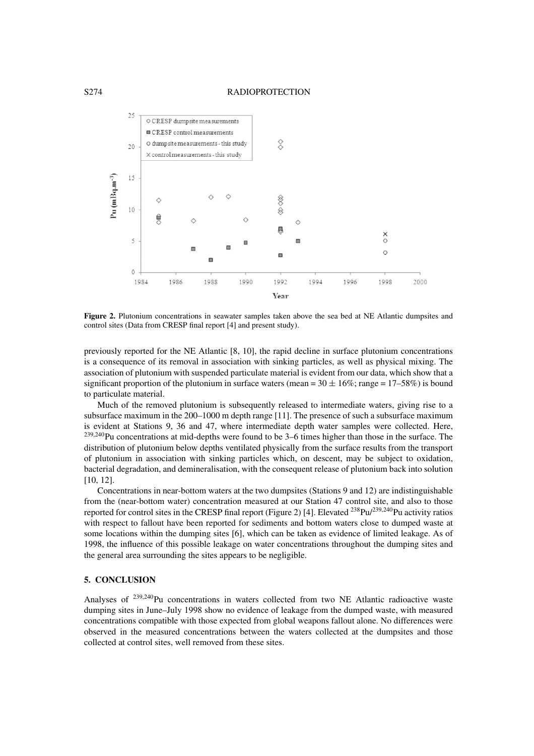

**Figure 2.** Plutonium concentrations in seawater samples taken above the sea bed at NE Atlantic dumpsites and control sites (Data from CRESP final report [4] and present study).

previously reported for the NE Atlantic [8, 10], the rapid decline in surface plutonium concentrations is a consequence of its removal in association with sinking particles, as well as physical mixing. The association of plutonium with suspended particulate material is evident from our data, which show that a significant proportion of the plutonium in surface waters (mean =  $30 \pm 16\%$ ; range =  $17-58\%$ ) is bound to particulate material.

Much of the removed plutonium is subsequently released to intermediate waters, giving rise to a subsurface maximum in the 200–1000 m depth range [11]. The presence of such a subsurface maximum is evident at Stations 9, 36 and 47, where intermediate depth water samples were collected. Here, 239,240Pu concentrations at mid-depths were found to be 3–6 times higher than those in the surface. The distribution of plutonium below depths ventilated physically from the surface results from the transport of plutonium in association with sinking particles which, on descent, may be subject to oxidation, bacterial degradation, and demineralisation, with the consequent release of plutonium back into solution [10, 12].

Concentrations in near-bottom waters at the two dumpsites (Stations 9 and 12) are indistinguishable from the (near-bottom water) concentration measured at our Station 47 control site, and also to those reported for control sites in the CRESP final report (Figure 2) [4]. Elevated 238Pu/239,240Pu activity ratios with respect to fallout have been reported for sediments and bottom waters close to dumped waste at some locations within the dumping sites [6], which can be taken as evidence of limited leakage. As of 1998, the influence of this possible leakage on water concentrations throughout the dumping sites and the general area surrounding the sites appears to be negligible.

## **5. CONCLUSION**

Analyses of  $239,240$ Pu concentrations in waters collected from two NE Atlantic radioactive waste dumping sites in June–July 1998 show no evidence of leakage from the dumped waste, with measured concentrations compatible with those expected from global weapons fallout alone. No differences were observed in the measured concentrations between the waters collected at the dumpsites and those collected at control sites, well removed from these sites.